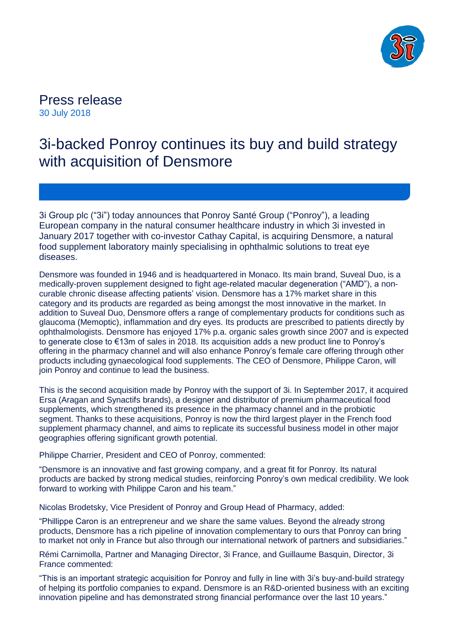

Press release 30 July 2018

# 3i-backed Ponroy continues its buy and build strategy with acquisition of Densmore

3i Group plc ("3i") today announces that Ponroy Santé Group ("Ponroy"), a leading European company in the natural consumer healthcare industry in which 3i invested in January 2017 together with co-investor Cathay Capital, is acquiring Densmore, a natural food supplement laboratory mainly specialising in ophthalmic solutions to treat eye diseases.

Densmore was founded in 1946 and is headquartered in Monaco. Its main brand, Suveal Duo, is a medically-proven supplement designed to fight age-related macular degeneration ("AMD"), a noncurable chronic disease affecting patients' vision. Densmore has a 17% market share in this category and its products are regarded as being amongst the most innovative in the market. In addition to Suveal Duo, Densmore offers a range of complementary products for conditions such as glaucoma (Memoptic), inflammation and dry eyes. Its products are prescribed to patients directly by ophthalmologists. Densmore has enjoyed 17% p.a. organic sales growth since 2007 and is expected to generate close to €13m of sales in 2018. Its acquisition adds a new product line to Ponroy's offering in the pharmacy channel and will also enhance Ponroy's female care offering through other products including gynaecological food supplements. The CEO of Densmore, Philippe Caron, will join Ponroy and continue to lead the business.

This is the second acquisition made by Ponroy with the support of 3i. In September 2017, it acquired Ersa (Aragan and Synactifs brands), a designer and distributor of premium pharmaceutical food supplements, which strengthened its presence in the pharmacy channel and in the probiotic segment. Thanks to these acquisitions, Ponroy is now the third largest player in the French food supplement pharmacy channel, and aims to replicate its successful business model in other major geographies offering significant growth potential.

Philippe Charrier, President and CEO of Ponroy, commented:

"Densmore is an innovative and fast growing company, and a great fit for Ponroy. Its natural products are backed by strong medical studies, reinforcing Ponroy's own medical credibility. We look forward to working with Philippe Caron and his team."

Nicolas Brodetsky, Vice President of Ponroy and Group Head of Pharmacy, added:

"Phillippe Caron is an entrepreneur and we share the same values. Beyond the already strong products, Densmore has a rich pipeline of innovation complementary to ours that Ponroy can bring to market not only in France but also through our international network of partners and subsidiaries."

Rémi Carnimolla, Partner and Managing Director, 3i France, and Guillaume Basquin, Director, 3i France commented:

"This is an important strategic acquisition for Ponroy and fully in line with 3i's buy-and-build strategy of helping its portfolio companies to expand. Densmore is an R&D-oriented business with an exciting innovation pipeline and has demonstrated strong financial performance over the last 10 years."